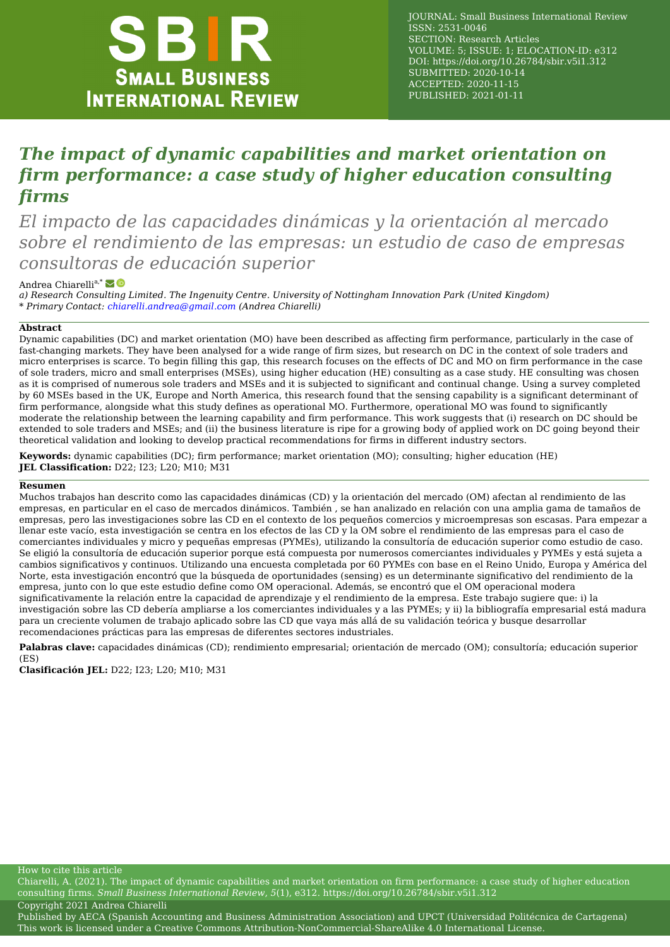

JOURNAL: Small Business International Review ISSN: 2531-0046 SECTION: Research Articles VOLUME: 5; ISSUE: 1; ELOCATION-ID: e312 DOI:<https://doi.org/10.26784/sbir.v5i1.312> SUBMITTED: 2020-10-14 ACCEPTED: 2020-11-15 PUBLISHED: 2021-01-11

# *The impact of dynamic capabilities and market orientation on firm performance: a case study of higher education consulting firms*

*El impacto de las capacidades dinámicas y la orientación al mercado sobre el rendimiento de las empresas: un estudio de caso de empresas consultoras de educación superior*

### Andrea Chiarelli<sup>a,\*</sup>

*a) Research Consulting Limited. The Ingenuity Centre. University of Nottingham Innovation Park (United Kingdom) \* Primary Contact: [chiarelli.andrea@gmail.com](mailto:chiarelli.andrea@gmail.com) (Andrea Chiarelli)*

#### **Abstract**

Dynamic capabilities (DC) and market orientation (MO) have been described as affecting firm performance, particularly in the case of fast-changing markets. They have been analysed for a wide range of firm sizes, but research on DC in the context of sole traders and micro enterprises is scarce. To begin filling this gap, this research focuses on the effects of DC and MO on firm performance in the case of sole traders, micro and small enterprises (MSEs), using higher education (HE) consulting as a case study. HE consulting was chosen as it is comprised of numerous sole traders and MSEs and it is subjected to significant and continual change. Using a survey completed by 60 MSEs based in the UK, Europe and North America, this research found that the sensing capability is a significant determinant of firm performance, alongside what this study defines as operational MO. Furthermore, operational MO was found to significantly moderate the relationship between the learning capability and firm performance. This work suggests that (i) research on DC should be extended to sole traders and MSEs; and (ii) the business literature is ripe for a growing body of applied work on DC going beyond their theoretical validation and looking to develop practical recommendations for firms in different industry sectors.

**Keywords:** dynamic capabilities (DC); firm performance; market orientation (MO); consulting; higher education (HE) **JEL Classification:** D22; I23; L20; M10; M31

#### **Resumen**

Muchos trabajos han descrito como las capacidades dinámicas (CD) y la orientación del mercado (OM) afectan al rendimiento de las empresas, en particular en el caso de mercados dinámicos. También , se han analizado en relación con una amplia gama de tamaños de empresas, pero las investigaciones sobre las CD en el contexto de los pequeños comercios y microempresas son escasas. Para empezar a llenar este vacío, esta investigación se centra en los efectos de las CD y la OM sobre el rendimiento de las empresas para el caso de comerciantes individuales y micro y pequeñas empresas (PYMEs), utilizando la consultoría de educación superior como estudio de caso. Se eligió la consultoría de educación superior porque está compuesta por numerosos comerciantes individuales y PYMEs y está sujeta a cambios significativos y continuos. Utilizando una encuesta completada por 60 PYMEs con base en el Reino Unido, Europa y América del Norte, esta investigación encontró que la búsqueda de oportunidades (sensing) es un determinante significativo del rendimiento de la empresa, junto con lo que este estudio define como OM operacional. Además, se encontró que el OM operacional modera significativamente la relación entre la capacidad de aprendizaje y el rendimiento de la empresa. Este trabajo sugiere que: i) la investigación sobre las CD debería ampliarse a los comerciantes individuales y a las PYMEs; y ii) la bibliografía empresarial está madura para un creciente volumen de trabajo aplicado sobre las CD que vaya más allá de su validación teórica y busque desarrollar recomendaciones prácticas para las empresas de diferentes sectores industriales.

**Palabras clave:** capacidades dinámicas (CD); rendimiento empresarial; orientación de mercado (OM); consultoría; educación superior  $(ES)$ 

**Clasificación JEL:** D22; I23; L20; M10; M31

How to cite this article

Chiarelli, A. (2021). The impact of dynamic capabilities and market orientation on firm performance: a case study of higher education consulting firms. *Small Business International Review*, *5*(1), e312.<https://doi.org/10.26784/sbir.v5i1.312> Copyright 2021 Andrea Chiarelli

Published by [AECA \(Spanish Accounting and Business Administration Association\)](http://aeca.es/) and [UPCT \(Universidad Politécnica de Cartagena\)](http://upct.es/) This work is licensed under a [Creative Commons Attribution-NonCommercial-ShareAlike 4.0 International License.](https://creativecommons.org/licenses/by-nc-sa/4.0/)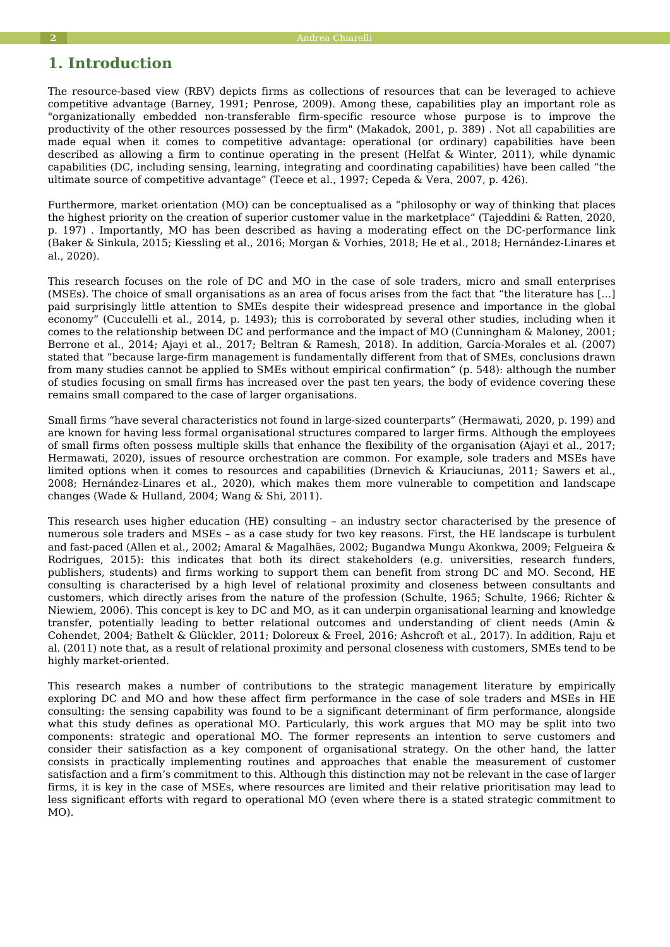## **1. Introduction**

The resource-based view (RBV) depicts firms as collections of resources that can be leveraged to achieve competitive advantage (Barney, 1991; Penrose, 2009). Among these, capabilities play an important role as "organizationally embedded non-transferable firm-specific resource whose purpose is to improve the productivity of the other resources possessed by the firm" (Makadok, 2001, p. 389) . Not all capabilities are made equal when it comes to competitive advantage: operational (or ordinary) capabilities have been described as allowing a firm to continue operating in the present (Helfat & Winter, 2011), while dynamic capabilities (DC, including sensing, learning, integrating and coordinating capabilities) have been called "the ultimate source of competitive advantage" (Teece et al., 1997; Cepeda & Vera, 2007, p. 426).

Furthermore, market orientation (MO) can be conceptualised as a "philosophy or way of thinking that places the highest priority on the creation of superior customer value in the marketplace" (Tajeddini & Ratten, 2020, p. 197) . Importantly, MO has been described as having a moderating effect on the DC-performance link (Baker & Sinkula, 2015; Kiessling et al., 2016; Morgan & Vorhies, 2018; He et al., 2018; Hernández-Linares et al., 2020).

This research focuses on the role of DC and MO in the case of sole traders, micro and small enterprises (MSEs). The choice of small organisations as an area of focus arises from the fact that "the literature has […] paid surprisingly little attention to SMEs despite their widespread presence and importance in the global economy" (Cucculelli et al., 2014, p. 1493); this is corroborated by several other studies, including when it comes to the relationship between DC and performance and the impact of MO (Cunningham & Maloney, 2001; Berrone et al., 2014; Ajayi et al., 2017; Beltran & Ramesh, 2018). In addition, García-Morales et al. (2007) stated that "because large-firm management is fundamentally different from that of SMEs, conclusions drawn from many studies cannot be applied to SMEs without empirical confirmation" (p. 548): although the number of studies focusing on small firms has increased over the past ten years, the body of evidence covering these remains small compared to the case of larger organisations.

Small firms "have several characteristics not found in large-sized counterparts" (Hermawati, 2020, p. 199) and are known for having less formal organisational structures compared to larger firms. Although the employees of small firms often possess multiple skills that enhance the flexibility of the organisation (Ajayi et al., 2017; Hermawati, 2020), issues of resource orchestration are common. For example, sole traders and MSEs have limited options when it comes to resources and capabilities (Drnevich & Kriauciunas, 2011; Sawers et al., 2008; Hernández-Linares et al., 2020), which makes them more vulnerable to competition and landscape changes (Wade & Hulland, 2004; Wang & Shi, 2011).

This research uses higher education (HE) consulting – an industry sector characterised by the presence of numerous sole traders and MSEs – as a case study for two key reasons. First, the HE landscape is turbulent and fast-paced (Allen et al., 2002; Amaral & Magalhães, 2002; Bugandwa Mungu Akonkwa, 2009; Felgueira & Rodrigues, 2015): this indicates that both its direct stakeholders (e.g. universities, research funders, publishers, students) and firms working to support them can benefit from strong DC and MO. Second, HE consulting is characterised by a high level of relational proximity and closeness between consultants and customers, which directly arises from the nature of the profession (Schulte, 1965; Schulte, 1966; Richter & Niewiem, 2006). This concept is key to DC and MO, as it can underpin organisational learning and knowledge transfer, potentially leading to better relational outcomes and understanding of client needs (Amin & Cohendet, 2004; Bathelt & Glückler, 2011; Doloreux & Freel, 2016; Ashcroft et al., 2017). In addition, Raju et al. (2011) note that, as a result of relational proximity and personal closeness with customers, SMEs tend to be highly market-oriented.

This research makes a number of contributions to the strategic management literature by empirically exploring DC and MO and how these affect firm performance in the case of sole traders and MSEs in HE consulting: the sensing capability was found to be a significant determinant of firm performance, alongside what this study defines as operational MO. Particularly, this work argues that MO may be split into two components: strategic and operational MO. The former represents an intention to serve customers and consider their satisfaction as a key component of organisational strategy. On the other hand, the latter consists in practically implementing routines and approaches that enable the measurement of customer satisfaction and a firm's commitment to this. Although this distinction may not be relevant in the case of larger firms, it is key in the case of MSEs, where resources are limited and their relative prioritisation may lead to less significant efforts with regard to operational MO (even where there is a stated strategic commitment to MO).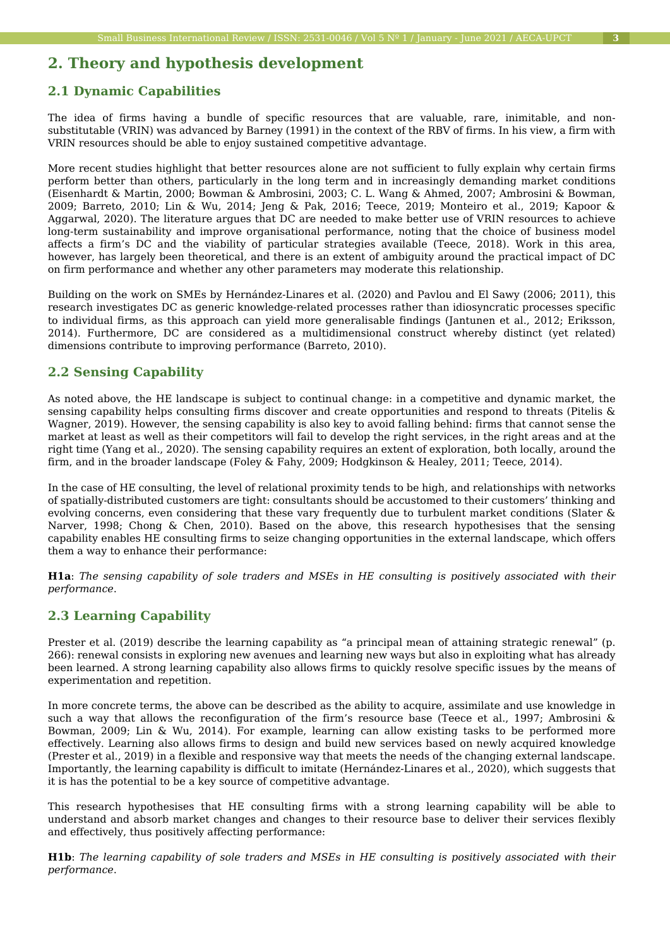## **2. Theory and hypothesis development**

### **2.1 Dynamic Capabilities**

The idea of firms having a bundle of specific resources that are valuable, rare, inimitable, and nonsubstitutable (VRIN) was advanced by Barney (1991) in the context of the RBV of firms. In his view, a firm with VRIN resources should be able to enjoy sustained competitive advantage.

More recent studies highlight that better resources alone are not sufficient to fully explain why certain firms perform better than others, particularly in the long term and in increasingly demanding market conditions (Eisenhardt & Martin, 2000; Bowman & Ambrosini, 2003; C. L. Wang & Ahmed, 2007; Ambrosini & Bowman, 2009; Barreto, 2010; Lin & Wu, 2014; Jeng & Pak, 2016; Teece, 2019; Monteiro et al., 2019; Kapoor & Aggarwal, 2020). The literature argues that DC are needed to make better use of VRIN resources to achieve long-term sustainability and improve organisational performance, noting that the choice of business model affects a firm's DC and the viability of particular strategies available (Teece, 2018). Work in this area, however, has largely been theoretical, and there is an extent of ambiguity around the practical impact of DC on firm performance and whether any other parameters may moderate this relationship.

Building on the work on SMEs by Hernández-Linares et al. (2020) and Pavlou and El Sawy (2006; 2011), this research investigates DC as generic knowledge-related processes rather than idiosyncratic processes specific to individual firms, as this approach can yield more generalisable findings (Jantunen et al., 2012; Eriksson, 2014). Furthermore, DC are considered as a multidimensional construct whereby distinct (yet related) dimensions contribute to improving performance (Barreto, 2010).

### **2.2 Sensing Capability**

As noted above, the HE landscape is subject to continual change: in a competitive and dynamic market, the sensing capability helps consulting firms discover and create opportunities and respond to threats (Pitelis & Wagner, 2019). However, the sensing capability is also key to avoid falling behind: firms that cannot sense the market at least as well as their competitors will fail to develop the right services, in the right areas and at the right time (Yang et al., 2020). The sensing capability requires an extent of exploration, both locally, around the firm, and in the broader landscape (Foley & Fahy, 2009; Hodgkinson & Healey, 2011; Teece, 2014).

In the case of HE consulting, the level of relational proximity tends to be high, and relationships with networks of spatially-distributed customers are tight: consultants should be accustomed to their customers' thinking and evolving concerns, even considering that these vary frequently due to turbulent market conditions (Slater & Narver, 1998; Chong & Chen, 2010). Based on the above, this research hypothesises that the sensing capability enables HE consulting firms to seize changing opportunities in the external landscape, which offers them a way to enhance their performance:

**H1a**: *The sensing capability of sole traders and MSEs in HE consulting is positively associated with their performance*.

### **2.3 Learning Capability**

Prester et al. (2019) describe the learning capability as "a principal mean of attaining strategic renewal" (p. 266): renewal consists in exploring new avenues and learning new ways but also in exploiting what has already been learned. A strong learning capability also allows firms to quickly resolve specific issues by the means of experimentation and repetition.

In more concrete terms, the above can be described as the ability to acquire, assimilate and use knowledge in such a way that allows the reconfiguration of the firm's resource base (Teece et al., 1997; Ambrosini & Bowman, 2009; Lin & Wu, 2014). For example, learning can allow existing tasks to be performed more effectively. Learning also allows firms to design and build new services based on newly acquired knowledge (Prester et al., 2019) in a flexible and responsive way that meets the needs of the changing external landscape. Importantly, the learning capability is difficult to imitate (Hernández-Linares et al., 2020), which suggests that it is has the potential to be a key source of competitive advantage.

This research hypothesises that HE consulting firms with a strong learning capability will be able to understand and absorb market changes and changes to their resource base to deliver their services flexibly and effectively, thus positively affecting performance:

**H1b**: *The learning capability of sole traders and MSEs in HE consulting is positively associated with their performance*.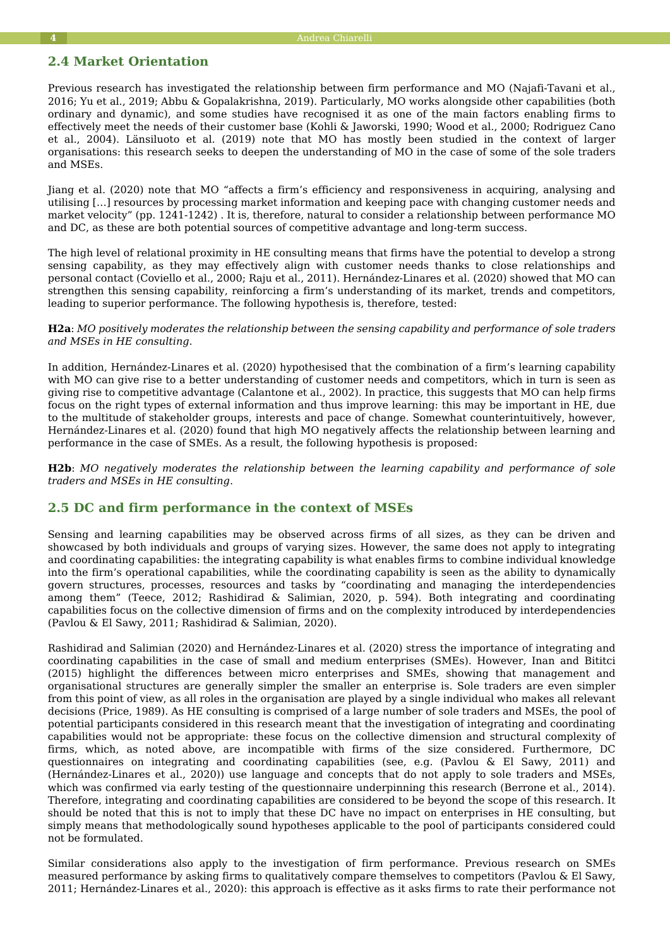#### **4** Andrea Chiarelli

#### **2.4 Market Orientation**

Previous research has investigated the relationship between firm performance and MO (Najafi-Tavani et al., 2016; Yu et al., 2019; Abbu & Gopalakrishna, 2019). Particularly, MO works alongside other capabilities (both ordinary and dynamic), and some studies have recognised it as one of the main factors enabling firms to effectively meet the needs of their customer base (Kohli & Jaworski, 1990; Wood et al., 2000; Rodriguez Cano et al., 2004). Länsiluoto et al. (2019) note that MO has mostly been studied in the context of larger organisations: this research seeks to deepen the understanding of MO in the case of some of the sole traders and MSEs.

Jiang et al. (2020) note that MO "affects a firm's efficiency and responsiveness in acquiring, analysing and utilising […] resources by processing market information and keeping pace with changing customer needs and market velocity" (pp. 1241-1242) . It is, therefore, natural to consider a relationship between performance MO and DC, as these are both potential sources of competitive advantage and long-term success.

The high level of relational proximity in HE consulting means that firms have the potential to develop a strong sensing capability, as they may effectively align with customer needs thanks to close relationships and personal contact (Coviello et al., 2000; Raju et al., 2011). Hernández-Linares et al. (2020) showed that MO can strengthen this sensing capability, reinforcing a firm's understanding of its market, trends and competitors, leading to superior performance. The following hypothesis is, therefore, tested:

**H2a**: *MO positively moderates the relationship between the sensing capability and performance of sole traders and MSEs in HE consulting*.

In addition, Hernández-Linares et al. (2020) hypothesised that the combination of a firm's learning capability with MO can give rise to a better understanding of customer needs and competitors, which in turn is seen as giving rise to competitive advantage (Calantone et al., 2002). In practice, this suggests that MO can help firms focus on the right types of external information and thus improve learning: this may be important in HE, due to the multitude of stakeholder groups, interests and pace of change. Somewhat counterintuitively, however, Hernández-Linares et al. (2020) found that high MO negatively affects the relationship between learning and performance in the case of SMEs. As a result, the following hypothesis is proposed:

**H2b**: *MO negatively moderates the relationship between the learning capability and performance of sole traders and MSEs in HE consulting*.

### **2.5 DC and firm performance in the context of MSEs**

Sensing and learning capabilities may be observed across firms of all sizes, as they can be driven and showcased by both individuals and groups of varying sizes. However, the same does not apply to integrating and coordinating capabilities: the integrating capability is what enables firms to combine individual knowledge into the firm's operational capabilities, while the coordinating capability is seen as the ability to dynamically govern structures, processes, resources and tasks by "coordinating and managing the interdependencies among them" (Teece, 2012; Rashidirad & Salimian, 2020, p. 594). Both integrating and coordinating capabilities focus on the collective dimension of firms and on the complexity introduced by interdependencies (Pavlou & El Sawy, 2011; Rashidirad & Salimian, 2020).

Rashidirad and Salimian (2020) and Hernández-Linares et al. (2020) stress the importance of integrating and coordinating capabilities in the case of small and medium enterprises (SMEs). However, Inan and Bititci (2015) highlight the differences between micro enterprises and SMEs, showing that management and organisational structures are generally simpler the smaller an enterprise is. Sole traders are even simpler from this point of view, as all roles in the organisation are played by a single individual who makes all relevant decisions (Price, 1989). As HE consulting is comprised of a large number of sole traders and MSEs, the pool of potential participants considered in this research meant that the investigation of integrating and coordinating capabilities would not be appropriate: these focus on the collective dimension and structural complexity of firms, which, as noted above, are incompatible with firms of the size considered. Furthermore, DC questionnaires on integrating and coordinating capabilities (see, e.g. (Pavlou & El Sawy, 2011) and (Hernández-Linares et al., 2020)) use language and concepts that do not apply to sole traders and MSEs, which was confirmed via early testing of the questionnaire underpinning this research (Berrone et al., 2014). Therefore, integrating and coordinating capabilities are considered to be beyond the scope of this research. It should be noted that this is not to imply that these DC have no impact on enterprises in HE consulting, but simply means that methodologically sound hypotheses applicable to the pool of participants considered could not be formulated.

Similar considerations also apply to the investigation of firm performance. Previous research on SMEs measured performance by asking firms to qualitatively compare themselves to competitors (Pavlou & El Sawy, 2011; Hernández-Linares et al., 2020): this approach is effective as it asks firms to rate their performance not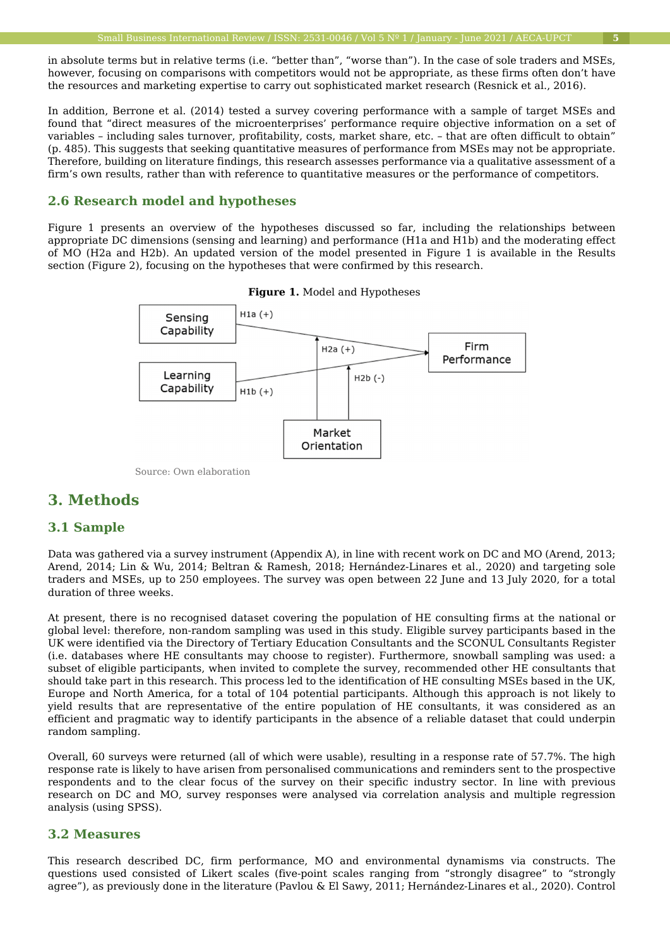in absolute terms but in relative terms (i.e. "better than", "worse than"). In the case of sole traders and MSEs, however, focusing on comparisons with competitors would not be appropriate, as these firms often don't have the resources and marketing expertise to carry out sophisticated market research (Resnick et al., 2016).

In addition, Berrone et al. (2014) tested a survey covering performance with a sample of target MSEs and found that "direct measures of the microenterprises' performance require objective information on a set of variables – including sales turnover, profitability, costs, market share, etc. – that are often difficult to obtain" (p. 485). This suggests that seeking quantitative measures of performance from MSEs may not be appropriate. Therefore, building on literature findings, this research assesses performance via a qualitative assessment of a firm's own results, rather than with reference to quantitative measures or the performance of competitors.

#### **2.6 Research model and hypotheses**

Figure 1 presents an overview of the hypotheses discussed so far, including the relationships between appropriate DC dimensions (sensing and learning) and performance (H1a and H1b) and the moderating effect of MO (H2a and H2b). An updated version of the model presented in Figure 1 is available in the Results section (Figure 2), focusing on the hypotheses that were confirmed by this research.





Source: Own elaboration

## **3. Methods**

#### **3.1 Sample**

Data was gathered via a survey instrument (Appendix A), in line with recent work on DC and MO (Arend, 2013; Arend, 2014; Lin & Wu, 2014; Beltran & Ramesh, 2018; Hernández-Linares et al., 2020) and targeting sole traders and MSEs, up to 250 employees. The survey was open between 22 June and 13 July 2020, for a total duration of three weeks.

At present, there is no recognised dataset covering the population of HE consulting firms at the national or global level: therefore, non-random sampling was used in this study. Eligible survey participants based in the UK were identified via the Directory of Tertiary Education Consultants and the SCONUL Consultants Register (i.e. databases where HE consultants may choose to register). Furthermore, snowball sampling was used: a subset of eligible participants, when invited to complete the survey, recommended other HE consultants that should take part in this research. This process led to the identification of HE consulting MSEs based in the UK, Europe and North America, for a total of 104 potential participants. Although this approach is not likely to yield results that are representative of the entire population of HE consultants, it was considered as an efficient and pragmatic way to identify participants in the absence of a reliable dataset that could underpin random sampling.

Overall, 60 surveys were returned (all of which were usable), resulting in a response rate of 57.7%. The high response rate is likely to have arisen from personalised communications and reminders sent to the prospective respondents and to the clear focus of the survey on their specific industry sector. In line with previous research on DC and MO, survey responses were analysed via correlation analysis and multiple regression analysis (using SPSS).

## **3.2 Measures**

This research described DC, firm performance, MO and environmental dynamisms via constructs. The questions used consisted of Likert scales (five-point scales ranging from "strongly disagree" to "strongly agree"), as previously done in the literature (Pavlou & El Sawy, 2011; Hernández-Linares et al., 2020). Control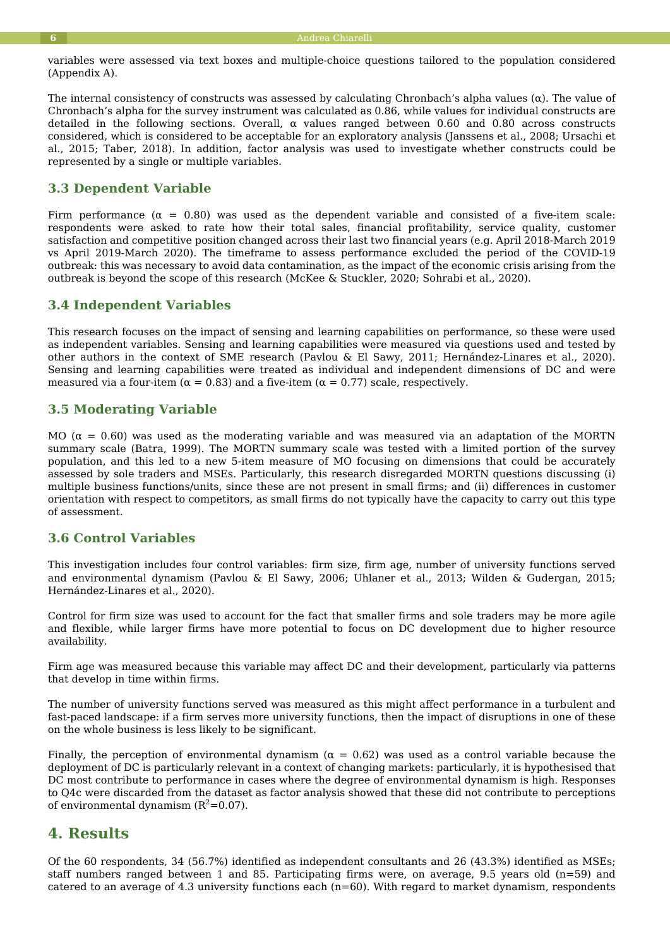variables were assessed via text boxes and multiple-choice questions tailored to the population considered (Appendix A).

The internal consistency of constructs was assessed by calculating Chronbach's alpha values (α). The value of Chronbach's alpha for the survey instrument was calculated as 0.86, while values for individual constructs are detailed in the following sections. Overall,  $\alpha$  values ranged between 0.60 and 0.80 across constructs considered, which is considered to be acceptable for an exploratory analysis (Janssens et al., 2008; Ursachi et al., 2015; Taber, 2018). In addition, factor analysis was used to investigate whether constructs could be represented by a single or multiple variables.

## **3.3 Dependent Variable**

Firm performance ( $\alpha = 0.80$ ) was used as the dependent variable and consisted of a five-item scale: respondents were asked to rate how their total sales, financial profitability, service quality, customer satisfaction and competitive position changed across their last two financial years (e.g. April 2018-March 2019 vs April 2019-March 2020). The timeframe to assess performance excluded the period of the COVID-19 outbreak: this was necessary to avoid data contamination, as the impact of the economic crisis arising from the outbreak is beyond the scope of this research (McKee & Stuckler, 2020; Sohrabi et al., 2020).

### **3.4 Independent Variables**

This research focuses on the impact of sensing and learning capabilities on performance, so these were used as independent variables. Sensing and learning capabilities were measured via questions used and tested by other authors in the context of SME research (Pavlou & El Sawy, 2011; Hernández-Linares et al., 2020). Sensing and learning capabilities were treated as individual and independent dimensions of DC and were measured via a four-item ( $α = 0.83$ ) and a five-item ( $α = 0.77$ ) scale, respectively.

### **3.5 Moderating Variable**

MO ( $\alpha$  = 0.60) was used as the moderating variable and was measured via an adaptation of the MORTN summary scale (Batra, 1999). The MORTN summary scale was tested with a limited portion of the survey population, and this led to a new 5-item measure of MO focusing on dimensions that could be accurately assessed by sole traders and MSEs. Particularly, this research disregarded MORTN questions discussing (i) multiple business functions/units, since these are not present in small firms; and (ii) differences in customer orientation with respect to competitors, as small firms do not typically have the capacity to carry out this type of assessment.

### **3.6 Control Variables**

This investigation includes four control variables: firm size, firm age, number of university functions served and environmental dynamism (Pavlou & El Sawy, 2006; Uhlaner et al., 2013; Wilden & Gudergan, 2015; Hernández-Linares et al., 2020).

Control for firm size was used to account for the fact that smaller firms and sole traders may be more agile and flexible, while larger firms have more potential to focus on DC development due to higher resource availability.

Firm age was measured because this variable may affect DC and their development, particularly via patterns that develop in time within firms.

The number of university functions served was measured as this might affect performance in a turbulent and fast-paced landscape: if a firm serves more university functions, then the impact of disruptions in one of these on the whole business is less likely to be significant.

Finally, the perception of environmental dynamism ( $\alpha = 0.62$ ) was used as a control variable because the deployment of DC is particularly relevant in a context of changing markets: particularly, it is hypothesised that DC most contribute to performance in cases where the degree of environmental dynamism is high. Responses to Q4c were discarded from the dataset as factor analysis showed that these did not contribute to perceptions of environmental dynamism  $(R^2=0.07)$ .

## **4. Results**

Of the 60 respondents, 34 (56.7%) identified as independent consultants and 26 (43.3%) identified as MSEs; staff numbers ranged between 1 and 85. Participating firms were, on average, 9.5 years old  $(n=59)$  and catered to an average of 4.3 university functions each  $(n=60)$ . With regard to market dynamism, respondents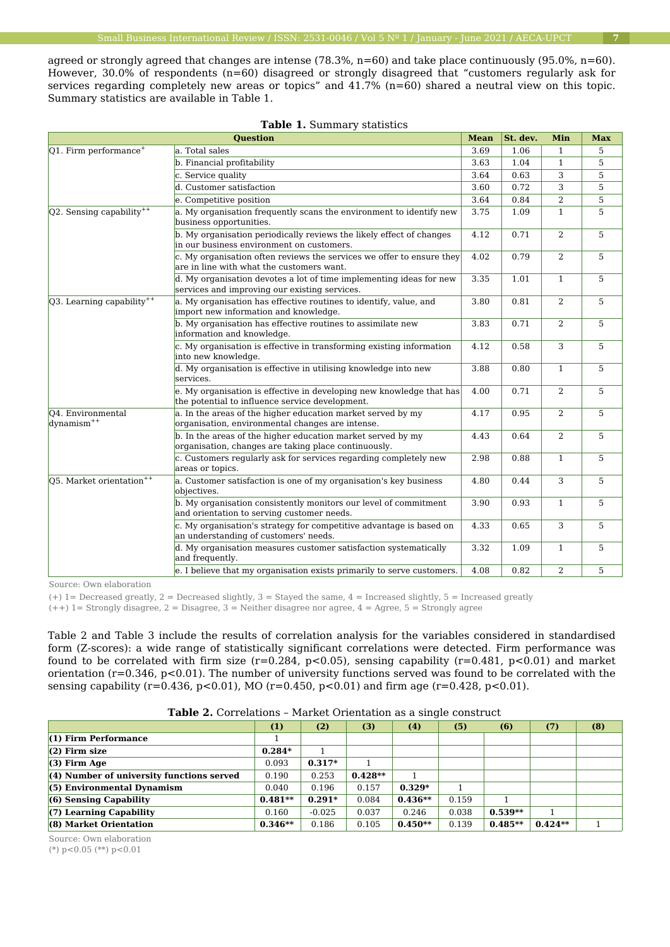agreed or strongly agreed that changes are intense (78.3%, n=60) and take place continuously (95.0%, n=60). However, 30.0% of respondents (n=60) disagreed or strongly disagreed that "customers regularly ask for services regarding completely new areas or topics" and 41.7% (n=60) shared a neutral view on this topic. Summary statistics are available in Table 1.

|                                                                                                                                                                                                                                | <b>Question</b>                                                                                                         | <b>Mean</b>                  | St. dev.                                                                                                                             | Min                                                                                                                                                                   | <b>Max</b> |
|--------------------------------------------------------------------------------------------------------------------------------------------------------------------------------------------------------------------------------|-------------------------------------------------------------------------------------------------------------------------|------------------------------|--------------------------------------------------------------------------------------------------------------------------------------|-----------------------------------------------------------------------------------------------------------------------------------------------------------------------|------------|
| $Q1$ . Firm performance <sup>+</sup>                                                                                                                                                                                           | a. Total sales                                                                                                          | 3.69                         | 1.06                                                                                                                                 | $\mathbf{1}$                                                                                                                                                          | 5          |
|                                                                                                                                                                                                                                | b. Financial profitability                                                                                              | 3.63                         | 1.04                                                                                                                                 | $\mathbf{1}$                                                                                                                                                          | 5          |
|                                                                                                                                                                                                                                | c. Service quality                                                                                                      | 3.64                         | 0.63                                                                                                                                 | 3                                                                                                                                                                     | 5          |
|                                                                                                                                                                                                                                | d. Customer satisfaction                                                                                                | 3.60                         | 0.72                                                                                                                                 | 3                                                                                                                                                                     | 5          |
|                                                                                                                                                                                                                                | e. Competitive position                                                                                                 | 3.64                         | 0.84                                                                                                                                 | 2<br>$\mathbf{1}$<br>2<br>2<br>$\mathbf{1}$<br>2<br>2<br>3<br>$\mathbf{1}$<br>2<br>2<br>2<br>$\mathbf{1}$<br>3<br>$\mathbf{1}$<br>3<br>$\mathbf{1}$<br>$\overline{2}$ | 5          |
| $Q2$ . Sensing capability <sup>++</sup>                                                                                                                                                                                        | a. My organisation frequently scans the environment to identify new<br>business opportunities.                          | 3.75                         | 1.09<br>0.71<br>0.79<br>1.01<br>0.81<br>0.71<br>0.58<br>0.80<br>0.71<br>0.95<br>0.64<br>0.88<br>0.44<br>0.93<br>0.65<br>1.09<br>0.82 | 5                                                                                                                                                                     |            |
|                                                                                                                                                                                                                                | b. My organisation periodically reviews the likely effect of changes<br>in our business environment on customers.       | 4.12                         |                                                                                                                                      |                                                                                                                                                                       | 5          |
|                                                                                                                                                                                                                                | c. My organisation often reviews the services we offer to ensure they<br>are in line with what the customers want.      | 4.02                         |                                                                                                                                      |                                                                                                                                                                       | 5          |
|                                                                                                                                                                                                                                | d. My organisation devotes a lot of time implementing ideas for new<br>services and improving our existing services.    | 3.35                         |                                                                                                                                      |                                                                                                                                                                       | 5          |
| $Q3$ . Learning capability <sup>++</sup>                                                                                                                                                                                       | a. My organisation has effective routines to identify, value, and<br>import new information and knowledge.              | 3.80<br>3.83<br>4.12<br>3.88 | 5                                                                                                                                    |                                                                                                                                                                       |            |
|                                                                                                                                                                                                                                | b. My organisation has effective routines to assimilate new<br>information and knowledge.                               |                              |                                                                                                                                      | 5                                                                                                                                                                     |            |
|                                                                                                                                                                                                                                | c. My organisation is effective in transforming existing information<br>into new knowledge.                             |                              |                                                                                                                                      | 5                                                                                                                                                                     |            |
|                                                                                                                                                                                                                                | d. My organisation is effective in utilising knowledge into new<br>services.                                            |                              |                                                                                                                                      |                                                                                                                                                                       | 5          |
|                                                                                                                                                                                                                                | e. My organisation is effective in developing new knowledge that has<br>the potential to influence service development. | 4.00                         |                                                                                                                                      |                                                                                                                                                                       | 5          |
| O <sub>4</sub> . Environmental<br>dynamism <sup>++</sup>                                                                                                                                                                       | a. In the areas of the higher education market served by my<br>organisation, environmental changes are intense.         | 4.17                         |                                                                                                                                      |                                                                                                                                                                       | 5          |
|                                                                                                                                                                                                                                | b. In the areas of the higher education market served by my<br>organisation, changes are taking place continuously.     | 4.43                         |                                                                                                                                      |                                                                                                                                                                       | 5          |
|                                                                                                                                                                                                                                | c. Customers regularly ask for services regarding completely new<br>areas or topics.                                    | 2.98                         |                                                                                                                                      |                                                                                                                                                                       | 5          |
| Q5. Market orientation <sup>++</sup>                                                                                                                                                                                           | a. Customer satisfaction is one of my organisation's key business<br>objectives.                                        | 4.80                         |                                                                                                                                      |                                                                                                                                                                       | 5          |
| b. My organisation consistently monitors our level of commitment<br>and orientation to serving customer needs.<br>c. My organisation's strategy for competitive advantage is based on<br>an understanding of customers' needs. | 3.90                                                                                                                    |                              |                                                                                                                                      | 5                                                                                                                                                                     |            |
|                                                                                                                                                                                                                                |                                                                                                                         | 4.33                         |                                                                                                                                      |                                                                                                                                                                       | 5          |
|                                                                                                                                                                                                                                | d. My organisation measures customer satisfaction systematically<br>and frequently.                                     | 3.32                         |                                                                                                                                      |                                                                                                                                                                       | 5          |
|                                                                                                                                                                                                                                | e. I believe that my organisation exists primarily to serve customers.                                                  | 4.08                         |                                                                                                                                      |                                                                                                                                                                       | 5          |

| Table 1. Summary statistics |  |
|-----------------------------|--|
|-----------------------------|--|

Source: Own elaboration

 $(+)$  1= Decreased greatly, 2 = Decreased slightly, 3 = Stayed the same, 4 = Increased slightly, 5 = Increased greatly

(++) 1= Strongly disagree, 2 = Disagree, 3 = Neither disagree nor agree, 4 = Agree, 5 = Strongly agree

Table 2 and Table 3 include the results of correlation analysis for the variables considered in standardised form (Z-scores): a wide range of statistically significant correlations were detected. Firm performance was found to be correlated with firm size  $(r=0.284, p<0.05)$ , sensing capability  $(r=0.481, p<0.01)$  and market orientation ( $r=0.346$ ,  $p<0.01$ ). The number of university functions served was found to be correlated with the sensing capability (r=0.436, p<0.01), MO (r=0.450, p<0.01) and firm age (r=0.428, p<0.01).

|                                             | (1)       | (2)      | (3)       | (4)       | (5)   | (6)       | (7)       | (8) |
|---------------------------------------------|-----------|----------|-----------|-----------|-------|-----------|-----------|-----|
| $(1)$ Firm Performance                      |           |          |           |           |       |           |           |     |
| $(2)$ Firm size                             | $0.284*$  |          |           |           |       |           |           |     |
| $(3)$ Firm Age                              | 0.093     | $0.317*$ |           |           |       |           |           |     |
| $(4)$ Number of university functions served | 0.190     | 0.253    | $0.428**$ |           |       |           |           |     |
| $(5)$ Environmental Dynamism                | 0.040     | 0.196    | 0.157     | $0.329*$  |       |           |           |     |
| $(6)$ Sensing Capability                    | $0.481**$ | $0.291*$ | 0.084     | $0.436**$ | 0.159 |           |           |     |
| $(7)$ Learning Capability                   | 0.160     | $-0.025$ | 0.037     | 0.246     | 0.038 | $0.539**$ |           |     |
| (8) Market Orientation                      | $0.346**$ | 0.186    | 0.105     | $0.450**$ | 0.139 | $0.485**$ | $0.424**$ |     |

**Table 2.** Correlations – Market Orientation as a single construct

Source: Own elaboration

 $(*)$  p<0.05  $(**)$  p<0.01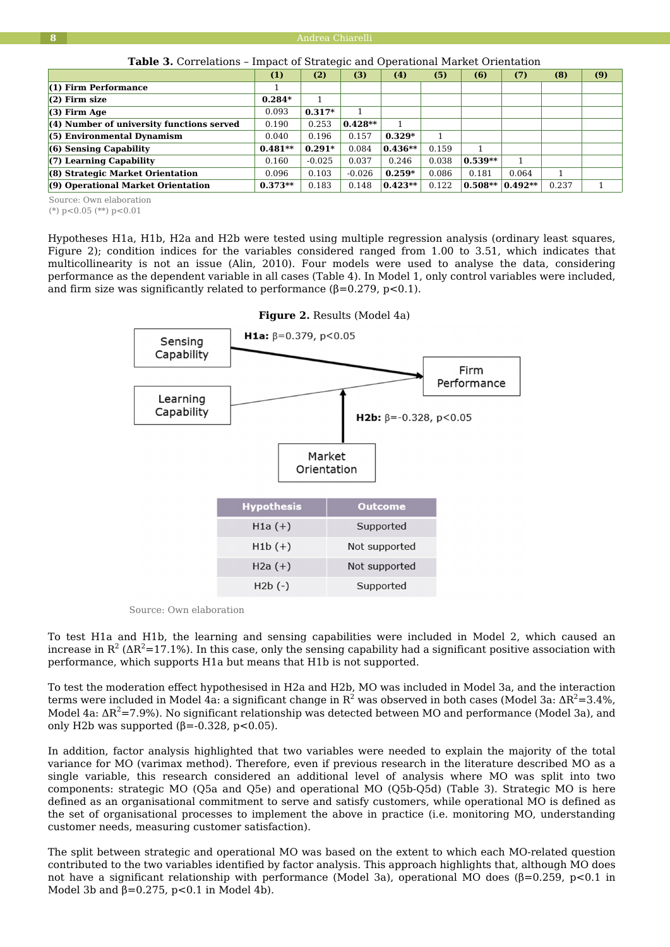|                                           | (1)       | (2)      | (3)       | (4)       | (5)   | (6)       | (7)       | (8)   | (9) |
|-------------------------------------------|-----------|----------|-----------|-----------|-------|-----------|-----------|-------|-----|
| $(1)$ Firm Performance                    |           |          |           |           |       |           |           |       |     |
| $(2)$ Firm size                           | $0.284*$  |          |           |           |       |           |           |       |     |
| $(3)$ Firm Age                            | 0.093     | $0.317*$ |           |           |       |           |           |       |     |
| (4) Number of university functions served | 0.190     | 0.253    | $0.428**$ |           |       |           |           |       |     |
| $(5)$ Environmental Dynamism              | 0.040     | 0.196    | 0.157     | $0.329*$  |       |           |           |       |     |
| $(6)$ Sensing Capability                  | $0.481**$ | $0.291*$ | 0.084     | $0.436**$ | 0.159 |           |           |       |     |
| $(7)$ Learning Capability                 | 0.160     | $-0.025$ | 0.037     | 0.246     | 0.038 | $0.539**$ |           |       |     |
| (8) Strategic Market Orientation          | 0.096     | 0.103    | $-0.026$  | $0.259*$  | 0.086 | 0.181     | 0.064     |       |     |
| (9) Operational Market Orientation        | $0.373**$ | 0.183    | 0.148     | $0.423**$ | 0.122 | $0.508**$ | $0.492**$ | 0.237 |     |

**Table 3.** Correlations – Impact of Strategic and Operational Market Orientation

Source: Own elaboration

(\*) p<0.05 (\*\*) p<0.01

Hypotheses H1a, H1b, H2a and H2b were tested using multiple regression analysis (ordinary least squares, Figure 2); condition indices for the variables considered ranged from 1.00 to 3.51, which indicates that multicollinearity is not an issue (Alin, 2010). Four models were used to analyse the data, considering performance as the dependent variable in all cases (Table 4). In Model 1, only control variables were included, and firm size was significantly related to performance  $(\beta = 0.279, p < 0.1)$ .



**Figure 2.** Results (Model 4a)

Source: Own elaboration

To test H1a and H1b, the learning and sensing capabilities were included in Model 2, which caused an increase in R $^2$  (AR $^2$ =17.1%). In this case, only the sensing capability had a significant positive association with performance, which supports H1a but means that H1b is not supported.

To test the moderation effect hypothesised in H2a and H2b, MO was included in Model 3a, and the interaction terms were included in Model 4a: a significant change in  $\mathrm{R}^2$  was observed in both cases (Model 3a: Δ $\mathrm{R}^2$ =3.4%, Model 4a:  $\Delta R^2$ =7.9%). No significant relationship was detected between MO and performance (Model 3a), and only H2b was supported  $(\beta = -0.328, p < 0.05)$ .

In addition, factor analysis highlighted that two variables were needed to explain the majority of the total variance for MO (varimax method). Therefore, even if previous research in the literature described MO as a single variable, this research considered an additional level of analysis where MO was split into two components: strategic MO (Q5a and Q5e) and operational MO (Q5b-Q5d) (Table 3). Strategic MO is here defined as an organisational commitment to serve and satisfy customers, while operational MO is defined as the set of organisational processes to implement the above in practice (i.e. monitoring MO, understanding customer needs, measuring customer satisfaction).

The split between strategic and operational MO was based on the extent to which each MO-related question contributed to the two variables identified by factor analysis. This approach highlights that, although MO does not have a significant relationship with performance (Model 3a), operational MO does (β=0.259, p<0.1 in Model 3b and  $\beta = 0.275$ , p<0.1 in Model 4b).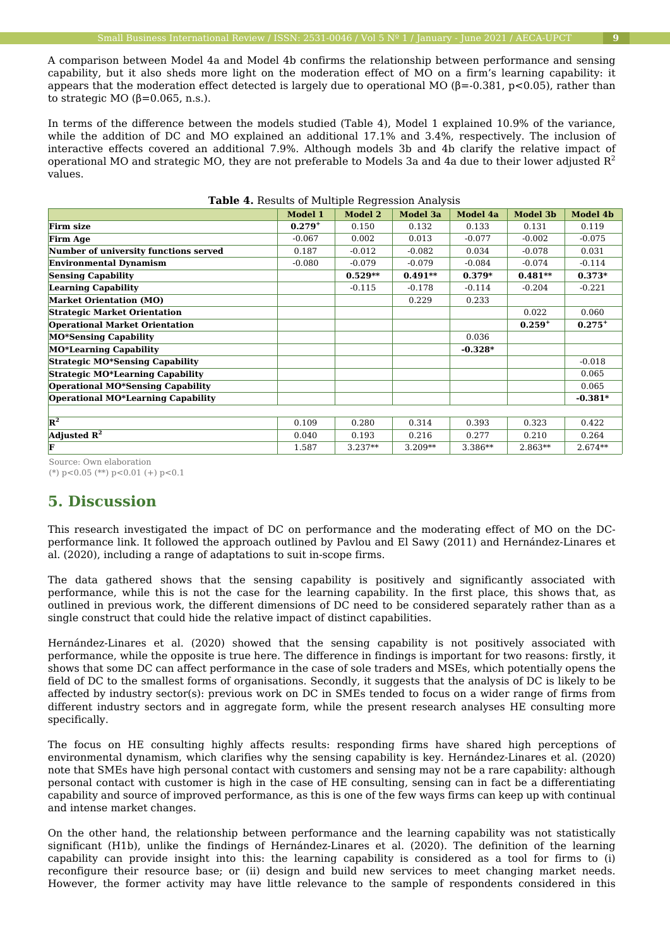A comparison between Model 4a and Model 4b confirms the relationship between performance and sensing capability, but it also sheds more light on the moderation effect of MO on a firm's learning capability: it appears that the moderation effect detected is largely due to operational MO ( $\beta$ =-0.381, p<0.05), rather than to strategic MO  $(β=0.065, n.s.).$ 

In terms of the difference between the models studied (Table 4), Model 1 explained 10.9% of the variance, while the addition of DC and MO explained an additional 17.1% and 3.4%, respectively. The inclusion of interactive effects covered an additional 7.9%. Although models 3b and 4b clarify the relative impact of operational MO and strategic MO, they are not preferable to Models 3a and 4a due to their lower adjusted  $R<sup>2</sup>$ values.

|                                              | <b>Model 1</b> | Model 2   | Model 3a  | Model 4a  | <b>Model 3b</b> | <b>Model 4b</b> |
|----------------------------------------------|----------------|-----------|-----------|-----------|-----------------|-----------------|
| <b>Firm size</b>                             | $0.279^{+}$    | 0.150     | 0.132     | 0.133     | 0.131           | 0.119           |
| <b>Firm Age</b>                              | $-0.067$       | 0.002     | 0.013     | $-0.077$  | $-0.002$        | $-0.075$        |
| <b>Number of university functions served</b> | 0.187          | $-0.012$  | $-0.082$  | 0.034     | $-0.078$        | 0.031           |
| <b>Environmental Dynamism</b>                | $-0.080$       | $-0.079$  | $-0.079$  | $-0.084$  | $-0.074$        | $-0.114$        |
| <b>Sensing Capability</b>                    |                | $0.529**$ | $0.491**$ | $0.379*$  | $0.481**$       | $0.373*$        |
| <b>Learning Capability</b>                   |                | $-0.115$  | $-0.178$  | $-0.114$  | $-0.204$        | $-0.221$        |
| <b>Market Orientation (MO)</b>               |                |           | 0.229     | 0.233     |                 |                 |
| <b>Strategic Market Orientation</b>          |                |           |           |           | 0.022           | 0.060           |
| <b>Operational Market Orientation</b>        |                |           |           |           | $0.259^{+}$     | $0.275^{+}$     |
| <b>MO*Sensing Capability</b>                 |                |           |           | 0.036     |                 |                 |
| <b>MO*Learning Capability</b>                |                |           |           | $-0.328*$ |                 |                 |
| <b>Strategic MO*Sensing Capability</b>       |                |           |           |           |                 | $-0.018$        |
| <b>Strategic MO*Learning Capability</b>      |                |           |           |           |                 | 0.065           |
| <b>Operational MO*Sensing Capability</b>     |                |           |           |           |                 | 0.065           |
| Operational MO*Learning Capability           |                |           |           |           |                 | $-0.381*$       |
|                                              |                |           |           |           |                 |                 |
| $R^2$                                        | 0.109          | 0.280     | 0.314     | 0.393     | 0.323           | 0.422           |
| Adjusted $\mathbb{R}^2$                      | 0.040          | 0.193     | 0.216     | 0.277     | 0.210           | 0.264           |
| F                                            | 1.587          | $3.237**$ | $3.209**$ | $3.386**$ | $2.863**$       | $2.674**$       |

#### **Table 4.** Results of Multiple Regression Analysis

Source: Own elaboration

(\*) p<0.05 (\*\*) p<0.01 (+) p<0.1

## **5. Discussion**

This research investigated the impact of DC on performance and the moderating effect of MO on the DCperformance link. It followed the approach outlined by Pavlou and El Sawy (2011) and Hernández-Linares et al. (2020), including a range of adaptations to suit in-scope firms.

The data gathered shows that the sensing capability is positively and significantly associated with performance, while this is not the case for the learning capability. In the first place, this shows that, as outlined in previous work, the different dimensions of DC need to be considered separately rather than as a single construct that could hide the relative impact of distinct capabilities.

Hernández-Linares et al. (2020) showed that the sensing capability is not positively associated with performance, while the opposite is true here. The difference in findings is important for two reasons: firstly, it shows that some DC can affect performance in the case of sole traders and MSEs, which potentially opens the field of DC to the smallest forms of organisations. Secondly, it suggests that the analysis of DC is likely to be affected by industry sector(s): previous work on DC in SMEs tended to focus on a wider range of firms from different industry sectors and in aggregate form, while the present research analyses HE consulting more specifically.

The focus on HE consulting highly affects results: responding firms have shared high perceptions of environmental dynamism, which clarifies why the sensing capability is key. Hernández-Linares et al. (2020) note that SMEs have high personal contact with customers and sensing may not be a rare capability: although personal contact with customer is high in the case of HE consulting, sensing can in fact be a differentiating capability and source of improved performance, as this is one of the few ways firms can keep up with continual and intense market changes.

On the other hand, the relationship between performance and the learning capability was not statistically significant (H1b), unlike the findings of Hernández-Linares et al. (2020). The definition of the learning capability can provide insight into this: the learning capability is considered as a tool for firms to (i) reconfigure their resource base; or (ii) design and build new services to meet changing market needs. However, the former activity may have little relevance to the sample of respondents considered in this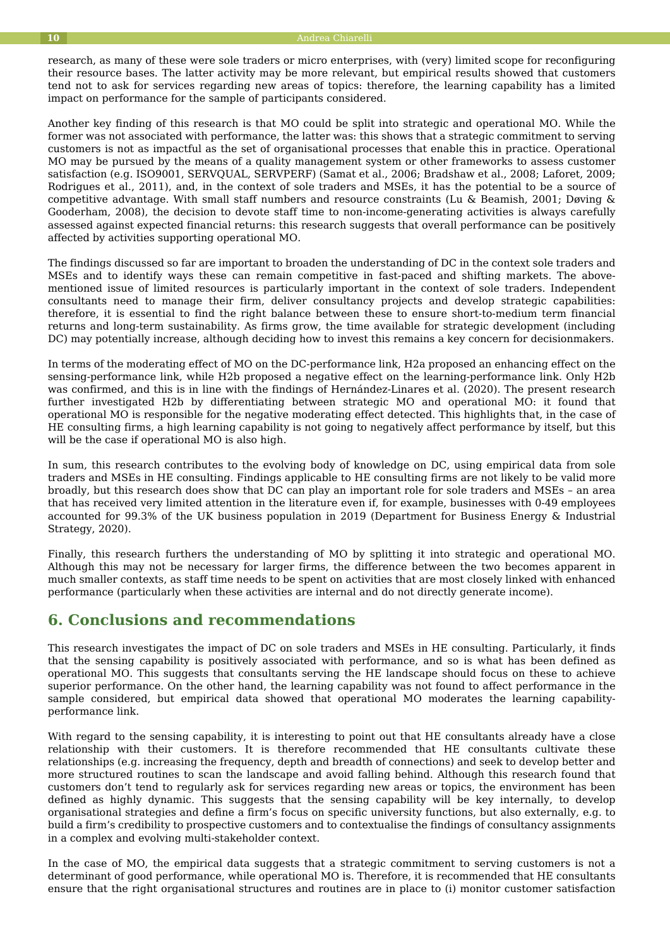research, as many of these were sole traders or micro enterprises, with (very) limited scope for reconfiguring their resource bases. The latter activity may be more relevant, but empirical results showed that customers tend not to ask for services regarding new areas of topics: therefore, the learning capability has a limited impact on performance for the sample of participants considered.

Another key finding of this research is that MO could be split into strategic and operational MO. While the former was not associated with performance, the latter was: this shows that a strategic commitment to serving customers is not as impactful as the set of organisational processes that enable this in practice. Operational MO may be pursued by the means of a quality management system or other frameworks to assess customer satisfaction (e.g. ISO9001, SERVQUAL, SERVPERF) (Samat et al., 2006; Bradshaw et al., 2008; Laforet, 2009; Rodrigues et al., 2011), and, in the context of sole traders and MSEs, it has the potential to be a source of competitive advantage. With small staff numbers and resource constraints (Lu & Beamish, 2001; Døving & Gooderham, 2008), the decision to devote staff time to non-income-generating activities is always carefully assessed against expected financial returns: this research suggests that overall performance can be positively affected by activities supporting operational MO.

The findings discussed so far are important to broaden the understanding of DC in the context sole traders and MSEs and to identify ways these can remain competitive in fast-paced and shifting markets. The abovementioned issue of limited resources is particularly important in the context of sole traders. Independent consultants need to manage their firm, deliver consultancy projects and develop strategic capabilities: therefore, it is essential to find the right balance between these to ensure short-to-medium term financial returns and long-term sustainability. As firms grow, the time available for strategic development (including DC) may potentially increase, although deciding how to invest this remains a key concern for decisionmakers.

In terms of the moderating effect of MO on the DC-performance link, H2a proposed an enhancing effect on the sensing-performance link, while H2b proposed a negative effect on the learning-performance link. Only H2b was confirmed, and this is in line with the findings of Hernández-Linares et al. (2020). The present research further investigated H2b by differentiating between strategic MO and operational MO: it found that operational MO is responsible for the negative moderating effect detected. This highlights that, in the case of HE consulting firms, a high learning capability is not going to negatively affect performance by itself, but this will be the case if operational MO is also high.

In sum, this research contributes to the evolving body of knowledge on DC, using empirical data from sole traders and MSEs in HE consulting. Findings applicable to HE consulting firms are not likely to be valid more broadly, but this research does show that DC can play an important role for sole traders and MSEs – an area that has received very limited attention in the literature even if, for example, businesses with 0-49 employees accounted for 99.3% of the UK business population in 2019 (Department for Business Energy & Industrial Strategy, 2020).

Finally, this research furthers the understanding of MO by splitting it into strategic and operational MO. Although this may not be necessary for larger firms, the difference between the two becomes apparent in much smaller contexts, as staff time needs to be spent on activities that are most closely linked with enhanced performance (particularly when these activities are internal and do not directly generate income).

## **6. Conclusions and recommendations**

This research investigates the impact of DC on sole traders and MSEs in HE consulting. Particularly, it finds that the sensing capability is positively associated with performance, and so is what has been defined as operational MO. This suggests that consultants serving the HE landscape should focus on these to achieve superior performance. On the other hand, the learning capability was not found to affect performance in the sample considered, but empirical data showed that operational MO moderates the learning capabilityperformance link.

With regard to the sensing capability, it is interesting to point out that HE consultants already have a close relationship with their customers. It is therefore recommended that HE consultants cultivate these relationships (e.g. increasing the frequency, depth and breadth of connections) and seek to develop better and more structured routines to scan the landscape and avoid falling behind. Although this research found that customers don't tend to regularly ask for services regarding new areas or topics, the environment has been defined as highly dynamic. This suggests that the sensing capability will be key internally, to develop organisational strategies and define a firm's focus on specific university functions, but also externally, e.g. to build a firm's credibility to prospective customers and to contextualise the findings of consultancy assignments in a complex and evolving multi-stakeholder context.

In the case of MO, the empirical data suggests that a strategic commitment to serving customers is not a determinant of good performance, while operational MO is. Therefore, it is recommended that HE consultants ensure that the right organisational structures and routines are in place to (i) monitor customer satisfaction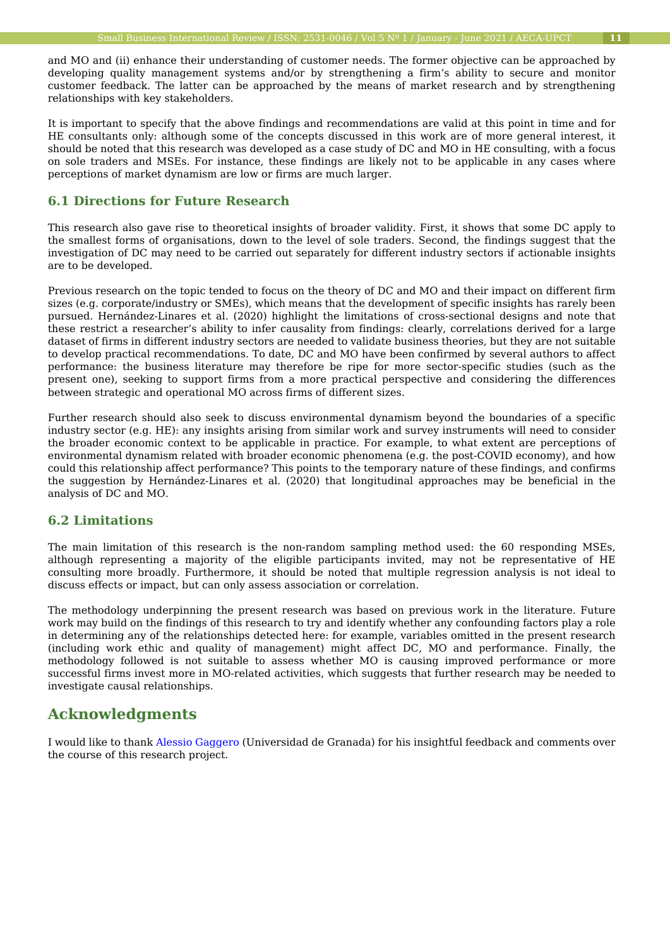and MO and (ii) enhance their understanding of customer needs. The former objective can be approached by developing quality management systems and/or by strengthening a firm's ability to secure and monitor customer feedback. The latter can be approached by the means of market research and by strengthening relationships with key stakeholders.

It is important to specify that the above findings and recommendations are valid at this point in time and for HE consultants only: although some of the concepts discussed in this work are of more general interest, it should be noted that this research was developed as a case study of DC and MO in HE consulting, with a focus on sole traders and MSEs. For instance, these findings are likely not to be applicable in any cases where perceptions of market dynamism are low or firms are much larger.

### **6.1 Directions for Future Research**

This research also gave rise to theoretical insights of broader validity. First, it shows that some DC apply to the smallest forms of organisations, down to the level of sole traders. Second, the findings suggest that the investigation of DC may need to be carried out separately for different industry sectors if actionable insights are to be developed.

Previous research on the topic tended to focus on the theory of DC and MO and their impact on different firm sizes (e.g. corporate/industry or SMEs), which means that the development of specific insights has rarely been pursued. Hernández-Linares et al. (2020) highlight the limitations of cross-sectional designs and note that these restrict a researcher's ability to infer causality from findings: clearly, correlations derived for a large dataset of firms in different industry sectors are needed to validate business theories, but they are not suitable to develop practical recommendations. To date, DC and MO have been confirmed by several authors to affect performance: the business literature may therefore be ripe for more sector-specific studies (such as the present one), seeking to support firms from a more practical perspective and considering the differences between strategic and operational MO across firms of different sizes.

Further research should also seek to discuss environmental dynamism beyond the boundaries of a specific industry sector (e.g. HE): any insights arising from similar work and survey instruments will need to consider the broader economic context to be applicable in practice. For example, to what extent are perceptions of environmental dynamism related with broader economic phenomena (e.g. the post-COVID economy), and how could this relationship affect performance? This points to the temporary nature of these findings, and confirms the suggestion by Hernández-Linares et al. (2020) that longitudinal approaches may be beneficial in the analysis of DC and MO.

#### **6.2 Limitations**

The main limitation of this research is the non-random sampling method used: the 60 responding MSEs, although representing a majority of the eligible participants invited, may not be representative of HE consulting more broadly. Furthermore, it should be noted that multiple regression analysis is not ideal to discuss effects or impact, but can only assess association or correlation.

The methodology underpinning the present research was based on previous work in the literature. Future work may build on the findings of this research to try and identify whether any confounding factors play a role in determining any of the relationships detected here: for example, variables omitted in the present research (including work ethic and quality of management) might affect DC, MO and performance. Finally, the methodology followed is not suitable to assess whether MO is causing improved performance or more successful firms invest more in MO-related activities, which suggests that further research may be needed to investigate causal relationships.

## **Acknowledgments**

I would like to thank [Alessio Gaggero](https://orcid.org/0000-0001-8298-2332) (Universidad de Granada) for his insightful feedback and comments over the course of this research project.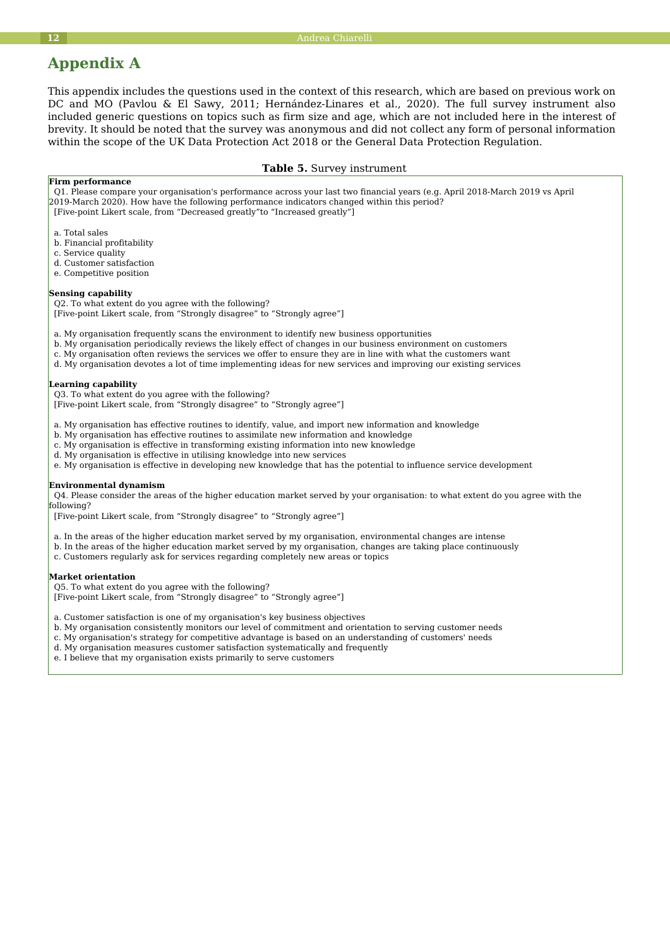## **Appendix A**

This appendix includes the questions used in the context of this research, which are based on previous work on DC and MO (Pavlou & El Sawy, 2011; Hernández-Linares et al., 2020). The full survey instrument also included generic questions on topics such as firm size and age, which are not included here in the interest of brevity. It should be noted that the survey was anonymous and did not collect any form of personal information within the scope of the UK Data Protection Act 2018 or the General Data Protection Regulation.

#### **Table 5.** Survey instrument

#### **Firm performance**

 Q1. Please compare your organisation's performance across your last two financial years (e.g. April 2018-March 2019 vs April 2019-March 2020). How have the following performance indicators changed within this period? [Five-point Likert scale, from "Decreased greatly"to "Increased greatly"]

- a. Total sales
- b. Financial profitability
- c. Service quality
- d. Customer satisfaction
- e. Competitive position

#### **Sensing capability**

Q2. To what extent do you agree with the following?

[Five-point Likert scale, from "Strongly disagree" to "Strongly agree"]

a. My organisation frequently scans the environment to identify new business opportunities

- b. My organisation periodically reviews the likely effect of changes in our business environment on customers
- c. My organisation often reviews the services we offer to ensure they are in line with what the customers want
- d. My organisation devotes a lot of time implementing ideas for new services and improving our existing services

#### **Learning capability**

Q3. To what extent do you agree with the following?

[Five-point Likert scale, from "Strongly disagree" to "Strongly agree"]

- a. My organisation has effective routines to identify, value, and import new information and knowledge
- b. My organisation has effective routines to assimilate new information and knowledge

c. My organisation is effective in transforming existing information into new knowledge

- d. My organisation is effective in utilising knowledge into new services
- e. My organisation is effective in developing new knowledge that has the potential to influence service development

#### **Environmental dynamism**

 Q4. Please consider the areas of the higher education market served by your organisation: to what extent do you agree with the following?

[Five-point Likert scale, from "Strongly disagree" to "Strongly agree"]

a. In the areas of the higher education market served by my organisation, environmental changes are intense

- b. In the areas of the higher education market served by my organisation, changes are taking place continuously
- c. Customers regularly ask for services regarding completely new areas or topics

#### **Market orientation**

 Q5. To what extent do you agree with the following? [Five-point Likert scale, from "Strongly disagree" to "Strongly agree"]

a. Customer satisfaction is one of my organisation's key business objectives

- b. My organisation consistently monitors our level of commitment and orientation to serving customer needs
- c. My organisation's strategy for competitive advantage is based on an understanding of customers' needs
- d. My organisation measures customer satisfaction systematically and frequently
- e. I believe that my organisation exists primarily to serve customers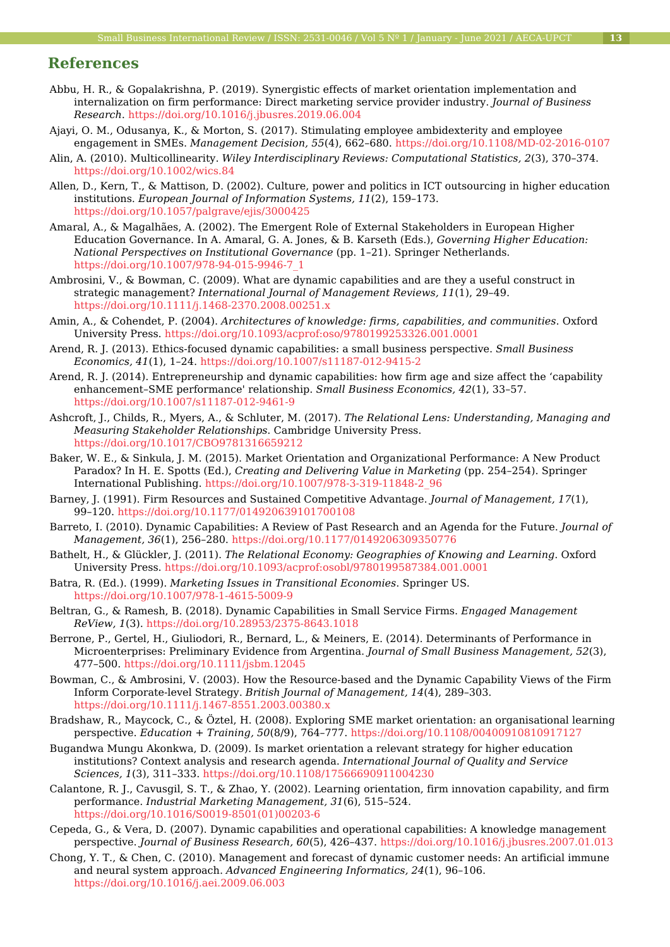## **References**

- Abbu, H. R., & Gopalakrishna, P. (2019). Synergistic effects of market orientation implementation and internalization on firm performance: Direct marketing service provider industry. *Journal of Business Research*.<https://doi.org/10.1016/j.jbusres.2019.06.004>
- Ajayi, O. M., Odusanya, K., & Morton, S. (2017). Stimulating employee ambidexterity and employee engagement in SMEs. *Management Decision, 55*(4), 662–680.<https://doi.org/10.1108/MD-02-2016-0107>
- Alin, A. (2010). Multicollinearity. *Wiley Interdisciplinary Reviews: Computational Statistics, 2*(3), 370–374. <https://doi.org/10.1002/wics.84>
- Allen, D., Kern, T., & Mattison, D. (2002). Culture, power and politics in ICT outsourcing in higher education institutions. *European Journal of Information Systems, 11*(2), 159–173. <https://doi.org/10.1057/palgrave/ejis/3000425>
- Amaral, A., & Magalhães, A. (2002). The Emergent Role of External Stakeholders in European Higher Education Governance. In A. Amaral, G. A. Jones, & B. Karseth (Eds.), *Governing Higher Education: National Perspectives on Institutional Governance* (pp. 1–21). Springer Netherlands. [https://doi.org/10.1007/978-94-015-9946-7\\_1](https://doi.org/10.1007/978-94-015-9946-7_1)
- Ambrosini, V., & Bowman, C. (2009). What are dynamic capabilities and are they a useful construct in strategic management? *International Journal of Management Reviews, 11*(1), 29–49. <https://doi.org/10.1111/j.1468-2370.2008.00251.x>
- Amin, A., & Cohendet, P. (2004). *Architectures of knowledge: firms, capabilities, and communities*. Oxford University Press.<https://doi.org/10.1093/acprof:oso/9780199253326.001.0001>
- Arend, R. J. (2013). Ethics-focused dynamic capabilities: a small business perspective. *Small Business Economics, 41*(1), 1–24.<https://doi.org/10.1007/s11187-012-9415-2>
- Arend, R. J. (2014). Entrepreneurship and dynamic capabilities: how firm age and size affect the 'capability enhancement–SME performance' relationship. *Small Business Economics, 42*(1), 33–57. <https://doi.org/10.1007/s11187-012-9461-9>
- Ashcroft, J., Childs, R., Myers, A., & Schluter, M. (2017). *The Relational Lens: Understanding, Managing and Measuring Stakeholder Relationships*. Cambridge University Press. <https://doi.org/10.1017/CBO9781316659212>
- Baker, W. E., & Sinkula, J. M. (2015). Market Orientation and Organizational Performance: A New Product Paradox? In H. E. Spotts (Ed.), *Creating and Delivering Value in Marketing* (pp. 254–254). Springer International Publishing. [https://doi.org/10.1007/978-3-319-11848-2\\_96](https://doi.org/10.1007/978-3-319-11848-2_96)
- Barney, J. (1991). Firm Resources and Sustained Competitive Advantage. *Journal of Management, 17*(1), 99–120. <https://doi.org/10.1177/014920639101700108>
- Barreto, I. (2010). Dynamic Capabilities: A Review of Past Research and an Agenda for the Future. *Journal of Management, 36*(1), 256–280.<https://doi.org/10.1177/0149206309350776>
- Bathelt, H., & Glückler, J. (2011). *The Relational Economy: Geographies of Knowing and Learning*. Oxford University Press.<https://doi.org/10.1093/acprof:osobl/9780199587384.001.0001>
- Batra, R. (Ed.). (1999). *Marketing Issues in Transitional Economies*. Springer US. <https://doi.org/10.1007/978-1-4615-5009-9>
- Beltran, G., & Ramesh, B. (2018). Dynamic Capabilities in Small Service Firms. *Engaged Management ReView, 1*(3).<https://doi.org/10.28953/2375-8643.1018>
- Berrone, P., Gertel, H., Giuliodori, R., Bernard, L., & Meiners, E. (2014). Determinants of Performance in Microenterprises: Preliminary Evidence from Argentina. *Journal of Small Business Management, 52*(3), 477–500.<https://doi.org/10.1111/jsbm.12045>
- Bowman, C., & Ambrosini, V. (2003). How the Resource-based and the Dynamic Capability Views of the Firm Inform Corporate-level Strategy. *British Journal of Management, 14*(4), 289–303. <https://doi.org/10.1111/j.1467-8551.2003.00380.x>
- Bradshaw, R., Maycock, C., & Öztel, H. (2008). Exploring SME market orientation: an organisational learning perspective. *Education + Training, 50*(8/9), 764–777. <https://doi.org/10.1108/00400910810917127>
- Bugandwa Mungu Akonkwa, D. (2009). Is market orientation a relevant strategy for higher education institutions? Context analysis and research agenda. *International Journal of Quality and Service Sciences, 1*(3), 311–333.<https://doi.org/10.1108/17566690911004230>
- Calantone, R. J., Cavusgil, S. T., & Zhao, Y. (2002). Learning orientation, firm innovation capability, and firm performance. *Industrial Marketing Management, 31*(6), 515–524. [https://doi.org/10.1016/S0019-8501\(01\)00203-6](https://doi.org/10.1016/S0019-8501(01)00203-6)
- Cepeda, G., & Vera, D. (2007). Dynamic capabilities and operational capabilities: A knowledge management perspective. *Journal of Business Research, 60*(5), 426–437.<https://doi.org/10.1016/j.jbusres.2007.01.013>
- Chong, Y. T., & Chen, C. (2010). Management and forecast of dynamic customer needs: An artificial immune and neural system approach. *Advanced Engineering Informatics, 24*(1), 96–106. <https://doi.org/10.1016/j.aei.2009.06.003>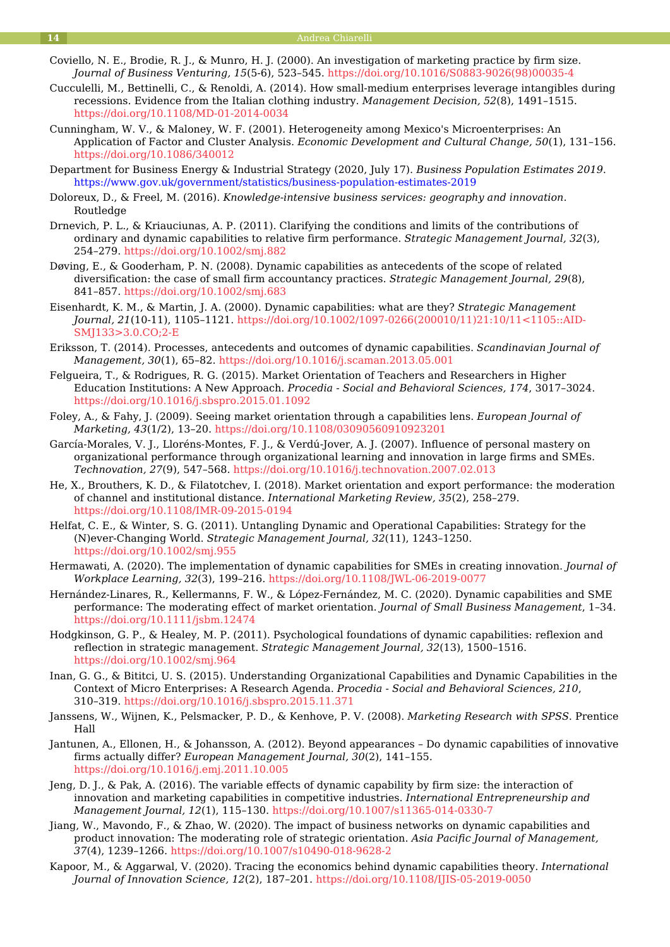- Coviello, N. E., Brodie, R. J., & Munro, H. J. (2000). An investigation of marketing practice by firm size. *Journal of Business Venturing, 15*(5-6), 523–545. [https://doi.org/10.1016/S0883-9026\(98\)00035-4](https://doi.org/10.1016/S0883-9026(98)00035-4)
- Cucculelli, M., Bettinelli, C., & Renoldi, A. (2014). How small-medium enterprises leverage intangibles during recessions. Evidence from the Italian clothing industry. *Management Decision, 52*(8), 1491–1515. <https://doi.org/10.1108/MD-01-2014-0034>
- Cunningham, W. V., & Maloney, W. F. (2001). Heterogeneity among Mexico's Microenterprises: An Application of Factor and Cluster Analysis. *Economic Development and Cultural Change, 50*(1), 131–156. <https://doi.org/10.1086/340012>
- Department for Business Energy & Industrial Strategy (2020, July 17). *Business Population Estimates 2019*. <https://www.gov.uk/government/statistics/business-population-estimates-2019>
- Doloreux, D., & Freel, M. (2016). *Knowledge-intensive business services: geography and innovation*. Routledge
- Drnevich, P. L., & Kriauciunas, A. P. (2011). Clarifying the conditions and limits of the contributions of ordinary and dynamic capabilities to relative firm performance. *Strategic Management Journal, 32*(3), 254–279.<https://doi.org/10.1002/smj.882>
- Døving, E., & Gooderham, P. N. (2008). Dynamic capabilities as antecedents of the scope of related diversification: the case of small firm accountancy practices. *Strategic Management Journal, 29*(8), 841–857.<https://doi.org/10.1002/smj.683>
- Eisenhardt, K. M., & Martin, J. A. (2000). Dynamic capabilities: what are they? *Strategic Management Journal, 21*(10-11), 1105–1121. [https://doi.org/10.1002/1097-0266\(200010/11\)21:10/11<1105::AID-](https://doi.org/10.1002/1097-0266(200010/11)21:10/11<1105::AID-SMJ133>3.0.CO;2-E)[SMJ133>3.0.CO;2-E](https://doi.org/10.1002/1097-0266(200010/11)21:10/11<1105::AID-SMJ133>3.0.CO;2-E)
- Eriksson, T. (2014). Processes, antecedents and outcomes of dynamic capabilities. *Scandinavian Journal of Management, 30*(1), 65–82. <https://doi.org/10.1016/j.scaman.2013.05.001>
- Felgueira, T., & Rodrigues, R. G. (2015). Market Orientation of Teachers and Researchers in Higher Education Institutions: A New Approach. *Procedia - Social and Behavioral Sciences, 174*, 3017–3024. <https://doi.org/10.1016/j.sbspro.2015.01.1092>
- Foley, A., & Fahy, J. (2009). Seeing market orientation through a capabilities lens. *European Journal of Marketing, 43*(1/2), 13–20. <https://doi.org/10.1108/03090560910923201>
- García-Morales, V. J., Lloréns-Montes, F. J., & Verdú-Jover, A. J. (2007). Influence of personal mastery on organizational performance through organizational learning and innovation in large firms and SMEs. *Technovation, 27*(9), 547–568. <https://doi.org/10.1016/j.technovation.2007.02.013>
- He, X., Brouthers, K. D., & Filatotchev, I. (2018). Market orientation and export performance: the moderation of channel and institutional distance. *International Marketing Review, 35*(2), 258–279. <https://doi.org/10.1108/IMR-09-2015-0194>
- Helfat, C. E., & Winter, S. G. (2011). Untangling Dynamic and Operational Capabilities: Strategy for the (N)ever-Changing World. *Strategic Management Journal, 32*(11), 1243–1250. <https://doi.org/10.1002/smj.955>
- Hermawati, A. (2020). The implementation of dynamic capabilities for SMEs in creating innovation. *Journal of Workplace Learning, 32*(3), 199–216. <https://doi.org/10.1108/JWL-06-2019-0077>
- Hernández-Linares, R., Kellermanns, F. W., & López-Fernández, M. C. (2020). Dynamic capabilities and SME performance: The moderating effect of market orientation. *Journal of Small Business Management*, 1–34. <https://doi.org/10.1111/jsbm.12474>
- Hodgkinson, G. P., & Healey, M. P. (2011). Psychological foundations of dynamic capabilities: reflexion and reflection in strategic management. *Strategic Management Journal, 32*(13), 1500–1516. <https://doi.org/10.1002/smj.964>
- Inan, G. G., & Bititci, U. S. (2015). Understanding Organizational Capabilities and Dynamic Capabilities in the Context of Micro Enterprises: A Research Agenda. *Procedia - Social and Behavioral Sciences, 210*, 310–319.<https://doi.org/10.1016/j.sbspro.2015.11.371>
- Janssens, W., Wijnen, K., Pelsmacker, P. D., & Kenhove, P. V. (2008). *Marketing Research with SPSS*. Prentice Hall
- Jantunen, A., Ellonen, H., & Johansson, A. (2012). Beyond appearances Do dynamic capabilities of innovative firms actually differ? *European Management Journal, 30*(2), 141–155. <https://doi.org/10.1016/j.emj.2011.10.005>
- Jeng, D. J., & Pak, A. (2016). The variable effects of dynamic capability by firm size: the interaction of innovation and marketing capabilities in competitive industries. *International Entrepreneurship and Management Journal, 12*(1), 115–130.<https://doi.org/10.1007/s11365-014-0330-7>
- Jiang, W., Mavondo, F., & Zhao, W. (2020). The impact of business networks on dynamic capabilities and product innovation: The moderating role of strategic orientation. *Asia Pacific Journal of Management, 37*(4), 1239–1266. <https://doi.org/10.1007/s10490-018-9628-2>
- Kapoor, M., & Aggarwal, V. (2020). Tracing the economics behind dynamic capabilities theory. *International Journal of Innovation Science, 12*(2), 187–201. <https://doi.org/10.1108/IJIS-05-2019-0050>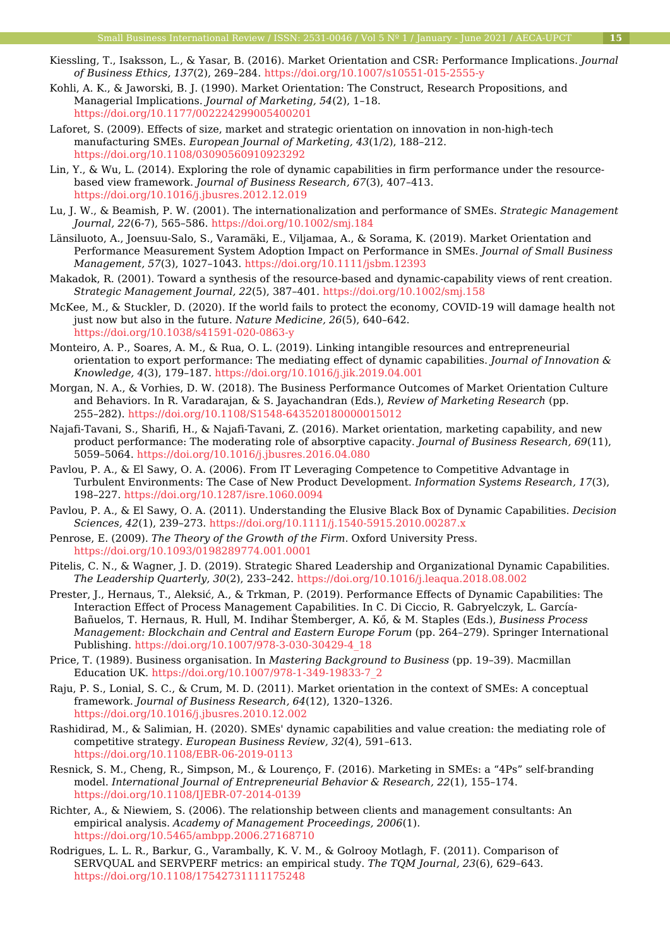- Kiessling, T., Isaksson, L., & Yasar, B. (2016). Market Orientation and CSR: Performance Implications. *Journal of Business Ethics, 137*(2), 269–284. <https://doi.org/10.1007/s10551-015-2555-y>
- Kohli, A. K., & Jaworski, B. J. (1990). Market Orientation: The Construct, Research Propositions, and Managerial Implications. *Journal of Marketing, 54*(2), 1–18. <https://doi.org/10.1177/002224299005400201>
- Laforet, S. (2009). Effects of size, market and strategic orientation on innovation in non‐high‐tech manufacturing SMEs. *European Journal of Marketing, 43*(1/2), 188–212. <https://doi.org/10.1108/03090560910923292>
- Lin, Y., & Wu, L. (2014). Exploring the role of dynamic capabilities in firm performance under the resourcebased view framework. *Journal of Business Research, 67*(3), 407–413. <https://doi.org/10.1016/j.jbusres.2012.12.019>
- Lu, J. W., & Beamish, P. W. (2001). The internationalization and performance of SMEs. *Strategic Management Journal, 22*(6-7), 565–586. <https://doi.org/10.1002/smj.184>
- Länsiluoto, A., Joensuu‐Salo, S., Varamäki, E., Viljamaa, A., & Sorama, K. (2019). Market Orientation and Performance Measurement System Adoption Impact on Performance in SMEs. *Journal of Small Business Management, 57*(3), 1027–1043. <https://doi.org/10.1111/jsbm.12393>
- Makadok, R. (2001). Toward a synthesis of the resource-based and dynamic-capability views of rent creation. *Strategic Management Journal, 22*(5), 387–401.<https://doi.org/10.1002/smj.158>
- McKee, M., & Stuckler, D. (2020). If the world fails to protect the economy, COVID-19 will damage health not just now but also in the future. *Nature Medicine, 26*(5), 640–642. <https://doi.org/10.1038/s41591-020-0863-y>
- Monteiro, A. P., Soares, A. M., & Rua, O. L. (2019). Linking intangible resources and entrepreneurial orientation to export performance: The mediating effect of dynamic capabilities. *Journal of Innovation & Knowledge, 4*(3), 179–187. <https://doi.org/10.1016/j.jik.2019.04.001>
- Morgan, N. A., & Vorhies, D. W. (2018). The Business Performance Outcomes of Market Orientation Culture and Behaviors. In R. Varadarajan, & S. Jayachandran (Eds.), *Review of Marketing Research* (pp. 255–282). <https://doi.org/10.1108/S1548-643520180000015012>
- Najafi-Tavani, S., Sharifi, H., & Najafi-Tavani, Z. (2016). Market orientation, marketing capability, and new product performance: The moderating role of absorptive capacity. *Journal of Business Research, 69*(11), 5059–5064. <https://doi.org/10.1016/j.jbusres.2016.04.080>
- Pavlou, P. A., & El Sawy, O. A. (2006). From IT Leveraging Competence to Competitive Advantage in Turbulent Environments: The Case of New Product Development. *Information Systems Research, 17*(3), 198–227.<https://doi.org/10.1287/isre.1060.0094>
- Pavlou, P. A., & El Sawy, O. A. (2011). Understanding the Elusive Black Box of Dynamic Capabilities. *Decision Sciences, 42*(1), 239–273.<https://doi.org/10.1111/j.1540-5915.2010.00287.x>
- Penrose, E. (2009). *The Theory of the Growth of the Firm*. Oxford University Press. <https://doi.org/10.1093/0198289774.001.0001>
- Pitelis, C. N., & Wagner, J. D. (2019). Strategic Shared Leadership and Organizational Dynamic Capabilities. *The Leadership Quarterly, 30*(2), 233–242. <https://doi.org/10.1016/j.leaqua.2018.08.002>
- Prester, J., Hernaus, T., Aleksić, A., & Trkman, P. (2019). Performance Effects of Dynamic Capabilities: The Interaction Effect of Process Management Capabilities. In C. Di Ciccio, R. Gabryelczyk, L. García-Bañuelos, T. Hernaus, R. Hull, M. Indihar Štemberger, A. Kő, & M. Staples (Eds.), *Business Process Management: Blockchain and Central and Eastern Europe Forum* (pp. 264–279). Springer International Publishing. [https://doi.org/10.1007/978-3-030-30429-4\\_18](https://doi.org/10.1007/978-3-030-30429-4_18)
- Price, T. (1989). Business organisation. In *Mastering Background to Business* (pp. 19–39). Macmillan Education UK. [https://doi.org/10.1007/978-1-349-19833-7\\_2](https://doi.org/10.1007/978-1-349-19833-7_2)
- Raju, P. S., Lonial, S. C., & Crum, M. D. (2011). Market orientation in the context of SMEs: A conceptual framework. *Journal of Business Research, 64*(12), 1320–1326. <https://doi.org/10.1016/j.jbusres.2010.12.002>
- Rashidirad, M., & Salimian, H. (2020). SMEs' dynamic capabilities and value creation: the mediating role of competitive strategy. *European Business Review, 32*(4), 591–613. <https://doi.org/10.1108/EBR-06-2019-0113>
- Resnick, S. M., Cheng, R., Simpson, M., & Lourenço, F. (2016). Marketing in SMEs: a "4Ps" self-branding model. *International Journal of Entrepreneurial Behavior & Research, 22*(1), 155–174. <https://doi.org/10.1108/IJEBR-07-2014-0139>
- Richter, A., & Niewiem, S. (2006). The relationship between clients and management consultants: An empirical analysis. *Academy of Management Proceedings, 2006*(1). <https://doi.org/10.5465/ambpp.2006.27168710>
- Rodrigues, L. L. R., Barkur, G., Varambally, K. V. M., & Golrooy Motlagh, F. (2011). Comparison of SERVQUAL and SERVPERF metrics: an empirical study. *The TQM Journal, 23*(6), 629–643. <https://doi.org/10.1108/17542731111175248>